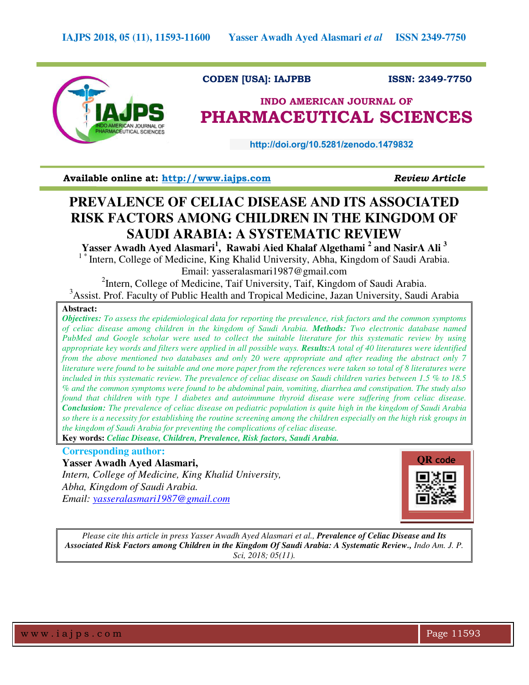

### **CODEN [USA]: IAJPBB ISSN: 2349-7750**

# **INDO AMERICAN JOURNAL OF PHARMACEUTICAL SCIENCES**

 **http://doi.org/10.5281/zenodo.1479832** 

**Available online at: [http://www.iajps.com](http://www.iajps.com/)** *Review Article*

# **PREVALENCE OF CELIAC DISEASE AND ITS ASSOCIATED RISK FACTORS AMONG CHILDREN IN THE KINGDOM OF SAUDI ARABIA: A SYSTEMATIC REVIEW**

**Yasser Awadh Ayed Alasmari<sup>1</sup> , Rawabi Aied Khalaf Algethami <sup>2</sup> and NasirA Ali <sup>3</sup>** <sup>1</sup>\* Intern, College of Medicine, King Khalid University, Abha, Kingdom of Saudi Arabia. Email: yasseralasmari1987@gmail.com

<sup>2</sup>Intern, College of Medicine, Taif University, Taif, Kingdom of Saudi Arabia. <sup>3</sup>Assist. Prof. Faculty of Public Health and Tropical Medicine, Jazan University, Saudi Arabia

### **Abstract:**

*Objectives: To assess the epidemiological data for reporting the prevalence, risk factors and the common symptoms of celiac disease among children in the kingdom of Saudi Arabia. Methods: Two electronic database named PubMed and Google scholar were used to collect the suitable literature for this systematic review by using appropriate key words and filters were applied in all possible ways. Results:A total of 40 literatures were identified from the above mentioned two databases and only 20 were appropriate and after reading the abstract only 7 literature were found to be suitable and one more paper from the references were taken so total of 8 literatures were included in this systematic review. The prevalence of celiac disease on Saudi children varies between 1.5 % to 18.5 % and the common symptoms were found to be abdominal pain, vomiting, diarrhea and constipation. The study also found that children with type 1 diabetes and autoimmune thyroid disease were suffering from celiac disease. Conclusion: The prevalence of celiac disease on pediatric population is quite high in the kingdom of Saudi Arabia so there is a necessity for establishing the routine screening among the children especially on the high risk groups in the kingdom of Saudi Arabia for preventing the complications of celiac disease.* 

**Key words:** *Celiac Disease, Children, Prevalence, Risk factors, Saudi Arabia.* 

## **Corresponding author:**

**Yasser Awadh Ayed Alasmari,** *Intern, College of Medicine, King Khalid University, Abha, Kingdom of Saudi Arabia. Email: [yasseralasmari1987@gmail.com](mailto:yasseralasmari1987@gmail.com)*



*Please cite this article in press Yasser Awadh Ayed Alasmari et al., Prevalence of Celiac Disease and Its Associated Risk Factors among Children in the Kingdom Of Saudi Arabia: A Systematic Review., Indo Am. J. P. Sci, 2018; 05(11).*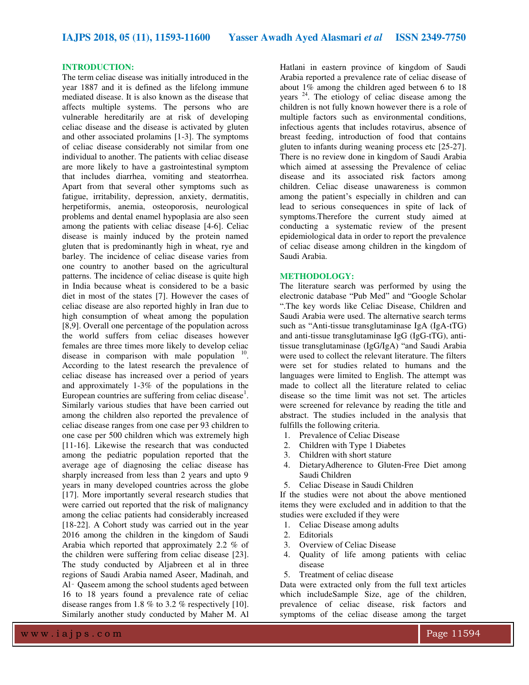#### **INTRODUCTION:**

The term celiac disease was initially introduced in the year 1887 and it is defined as the lifelong immune mediated disease. It is also known as the disease that affects multiple systems. The persons who are vulnerable hereditarily are at risk of developing celiac disease and the disease is activated by gluten and other associated prolamins [1-3]. The symptoms of celiac disease considerably not similar from one individual to another. The patients with celiac disease are more likely to have a gastrointestinal symptom that includes diarrhea, vomiting and steatorrhea. Apart from that several other symptoms such as fatigue, irritability, depression, anxiety, dermatitis, herpetiformis, anemia, osteoporosis, neurological problems and dental enamel hypoplasia are also seen among the patients with celiac disease [4-6]. Celiac disease is mainly induced by the protein named gluten that is predominantly high in wheat, rye and barley. The incidence of celiac disease varies from one country to another based on the agricultural patterns. The incidence of celiac disease is quite high in India because wheat is considered to be a basic diet in most of the states [7]. However the cases of celiac disease are also reported highly in Iran due to high consumption of wheat among the population [8,9]. Overall one percentage of the population across the world suffers from celiac diseases however females are three times more likely to develop celiac disease in comparison with male population  $10$ . According to the latest research the prevalence of celiac disease has increased over a period of years and approximately 1-3% of the populations in the European countries are suffering from celiac disease<sup>1</sup>. Similarly various studies that have been carried out among the children also reported the prevalence of celiac disease ranges from one case per 93 children to one case per 500 children which was extremely high [11-16]. Likewise the research that was conducted among the pediatric population reported that the average age of diagnosing the celiac disease has sharply increased from less than 2 years and upto 9 years in many developed countries across the globe [17]. More importantly several research studies that were carried out reported that the risk of malignancy among the celiac patients had considerably increased [18-22]. A Cohort study was carried out in the year 2016 among the children in the kingdom of Saudi Arabia which reported that approximately 2.2 % of the children were suffering from celiac disease [23]. The study conducted by Aljabreen et al in three regions of Saudi Arabia named Aseer, Madinah, and Al- Qaseem among the school students aged between 16 to 18 years found a prevalence rate of celiac disease ranges from 1.8 % to 3.2 % respectively [10]. Similarly another study conducted by Maher M. Al

Hatlani in eastern province of kingdom of Saudi Arabia reported a prevalence rate of celiac disease of about 1% among the children aged between 6 to 18 years<sup>24</sup>. The etiology of celiac disease among the children is not fully known however there is a role of multiple factors such as environmental conditions, infectious agents that includes rotavirus, absence of breast feeding, introduction of food that contains gluten to infants during weaning process etc [25-27]. There is no review done in kingdom of Saudi Arabia which aimed at assessing the Prevalence of celiac disease and its associated risk factors among children. Celiac disease unawareness is common among the patient's especially in children and can lead to serious consequences in spite of lack of symptoms.Therefore the current study aimed at conducting a systematic review of the present epidemiological data in order to report the prevalence of celiac disease among children in the kingdom of Saudi Arabia.

#### **METHODOLOGY:**

The literature search was performed by using the electronic database "Pub Med" and "Google Scholar ".The key words like Celiac Disease, Children and Saudi Arabia were used. The alternative search terms such as "Anti-tissue transglutaminase IgA (IgA-tTG) and anti-tissue transglutaminase IgG (IgG-tTG), antitissue transglutaminase (IgG/IgA) "and Saudi Arabia were used to collect the relevant literature. The filters were set for studies related to humans and the languages were limited to English. The attempt was made to collect all the literature related to celiac disease so the time limit was not set. The articles were screened for relevance by reading the title and abstract. The studies included in the analysis that fulfills the following criteria.

- 1. Prevalence of Celiac Disease
- 2. Children with Type 1 Diabetes
- 3. Children with short stature
- 4. DietaryAdherence to Gluten-Free Diet among Saudi Children
- 5. Celiac Disease in Saudi Children

If the studies were not about the above mentioned items they were excluded and in addition to that the studies were excluded if they were

- 1. Celiac Disease among adults
- 2. Editorials
- 3. Overview of Celiac Disease
- 4. Quality of life among patients with celiac disease
- 5. Treatment of celiac disease

Data were extracted only from the full text articles which includeSample Size, age of the children, prevalence of celiac disease, risk factors and symptoms of the celiac disease among the target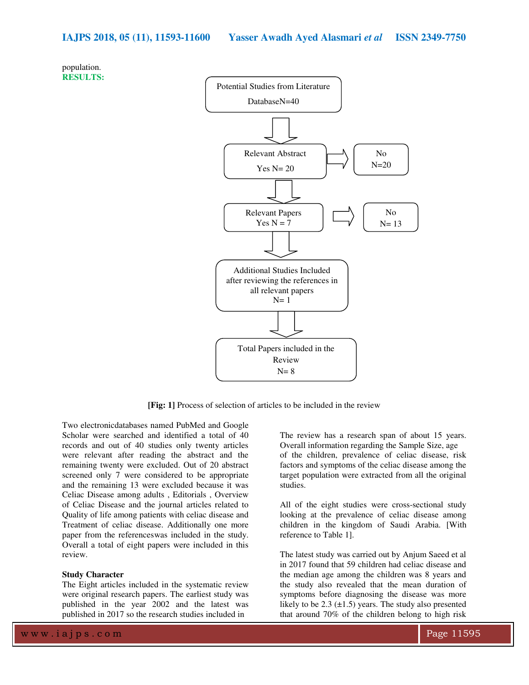



**[Fig: 1]** Process of selection of articles to be included in the review

Two electronicdatabases named PubMed and Google Scholar were searched and identified a total of 40 records and out of 40 studies only twenty articles were relevant after reading the abstract and the remaining twenty were excluded. Out of 20 abstract screened only 7 were considered to be appropriate and the remaining 13 were excluded because it was Celiac Disease among adults , Editorials , Overview of Celiac Disease and the journal articles related to Quality of life among patients with celiac disease and Treatment of celiac disease. Additionally one more paper from the referenceswas included in the study. Overall a total of eight papers were included in this review.

#### **Study Character**

The Eight articles included in the systematic review were original research papers. The earliest study was published in the year 2002 and the latest was published in 2017 so the research studies included in

The review has a research span of about 15 years. Overall information regarding the Sample Size, age of the children, prevalence of celiac disease, risk factors and symptoms of the celiac disease among the target population were extracted from all the original studies.

All of the eight studies were cross-sectional study looking at the prevalence of celiac disease among children in the kingdom of Saudi Arabia. [With reference to Table 1].

The latest study was carried out by Anjum Saeed et al in 2017 found that 59 children had celiac disease and the median age among the children was 8 years and the study also revealed that the mean duration of symptoms before diagnosing the disease was more likely to be 2.3  $(\pm 1.5)$  years. The study also presented that around 70% of the children belong to high risk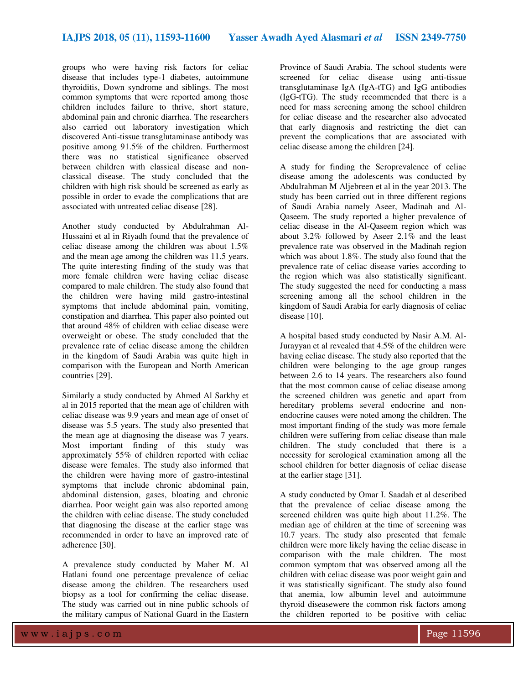groups who were having risk factors for celiac disease that includes type-1 diabetes, autoimmune thyroiditis, Down syndrome and siblings. The most common symptoms that were reported among those children includes failure to thrive, short stature, abdominal pain and chronic diarrhea. The researchers also carried out laboratory investigation which discovered Anti-tissue transglutaminase antibody was positive among 91.5% of the children. Furthermost there was no statistical significance observed between children with classical disease and nonclassical disease. The study concluded that the children with high risk should be screened as early as possible in order to evade the complications that are associated with untreated celiac disease [28].

Another study conducted by Abdulrahman Al-Hussaini et al in Riyadh found that the prevalence of celiac disease among the children was about 1.5% and the mean age among the children was 11.5 years. The quite interesting finding of the study was that more female children were having celiac disease compared to male children. The study also found that the children were having mild gastro-intestinal symptoms that include abdominal pain, vomiting, constipation and diarrhea. This paper also pointed out that around 48% of children with celiac disease were overweight or obese. The study concluded that the prevalence rate of celiac disease among the children in the kingdom of Saudi Arabia was quite high in comparison with the European and North American countries [29].

Similarly a study conducted by Ahmed Al Sarkhy et al in 2015 reported that the mean age of children with celiac disease was 9.9 years and mean age of onset of disease was 5.5 years. The study also presented that the mean age at diagnosing the disease was 7 years. Most important finding of this study was approximately 55% of children reported with celiac disease were females. The study also informed that the children were having more of gastro-intestinal symptoms that include chronic abdominal pain, abdominal distension, gases, bloating and chronic diarrhea. Poor weight gain was also reported among the children with celiac disease. The study concluded that diagnosing the disease at the earlier stage was recommended in order to have an improved rate of adherence [30].

A prevalence study conducted by Maher M. Al Hatlani found one percentage prevalence of celiac disease among the children. The researchers used biopsy as a tool for confirming the celiac disease. The study was carried out in nine public schools of the military campus of National Guard in the Eastern

Province of Saudi Arabia. The school students were screened for celiac disease using anti-tissue transglutaminase IgA (IgA-tTG) and IgG antibodies (IgG-tTG). The study recommended that there is a need for mass screening among the school children for celiac disease and the researcher also advocated that early diagnosis and restricting the diet can prevent the complications that are associated with celiac disease among the children [24].

A study for finding the Seroprevalence of celiac disease among the adolescents was conducted by Abdulrahman M Aljebreen et al in the year 2013. The study has been carried out in three different regions of Saudi Arabia namely Aseer, Madinah and Al-Qaseem. The study reported a higher prevalence of celiac disease in the Al-Qaseem region which was about 3.2% followed by Aseer 2.1% and the least prevalence rate was observed in the Madinah region which was about 1.8%. The study also found that the prevalence rate of celiac disease varies according to the region which was also statistically significant. The study suggested the need for conducting a mass screening among all the school children in the kingdom of Saudi Arabia for early diagnosis of celiac disease [10].

A hospital based study conducted by Nasir A.M. Al-Jurayyan et al revealed that 4.5% of the children were having celiac disease. The study also reported that the children were belonging to the age group ranges between 2.6 to 14 years. The researchers also found that the most common cause of celiac disease among the screened children was genetic and apart from hereditary problems several endocrine and nonendocrine causes were noted among the children. The most important finding of the study was more female children were suffering from celiac disease than male children. The study concluded that there is a necessity for serological examination among all the school children for better diagnosis of celiac disease at the earlier stage [31].

A study conducted by Omar I. Saadah et al described that the prevalence of celiac disease among the screened children was quite high about 11.2%. The median age of children at the time of screening was 10.7 years. The study also presented that female children were more likely having the celiac disease in comparison with the male children. The most common symptom that was observed among all the children with celiac disease was poor weight gain and it was statistically significant. The study also found that anemia, low albumin level and autoimmune thyroid diseasewere the common risk factors among the children reported to be positive with celiac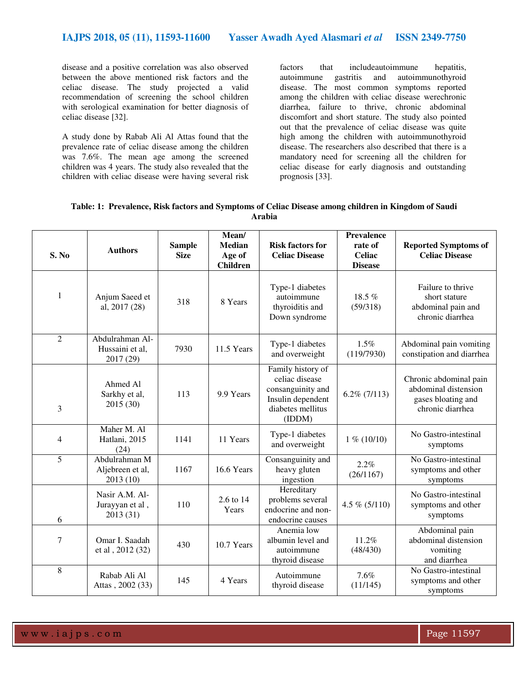disease and a positive correlation was also observed between the above mentioned risk factors and the celiac disease. The study projected a valid recommendation of screening the school children with serological examination for better diagnosis of celiac disease [32].

A study done by Rabab Ali Al Attas found that the prevalence rate of celiac disease among the children was 7.6%. The mean age among the screened children was 4 years. The study also revealed that the children with celiac disease were having several risk

factors that includeautoimmune hepatitis, autoimmune gastritis and autoimmunothyroid disease. The most common symptoms reported among the children with celiac disease werechronic diarrhea, failure to thrive, chronic abdominal discomfort and short stature. The study also pointed out that the prevalence of celiac disease was quite high among the children with autoimmunothyroid disease. The researchers also described that there is a mandatory need for screening all the children for celiac disease for early diagnosis and outstanding prognosis [33].

| Table: 1: Prevalence, Risk factors and Symptoms of Celiac Disease among children in Kingdom of Saudi |
|------------------------------------------------------------------------------------------------------|
| Arabia                                                                                               |

| S. No          | <b>Authors</b>                                  | <b>Sample</b><br><b>Size</b> | Mean/<br><b>Median</b><br>Age of<br><b>Children</b> | <b>Risk factors for</b><br><b>Celiac Disease</b>                                                             | Prevalence<br>rate of<br><b>Celiac</b><br><b>Disease</b> | <b>Reported Symptoms of</b><br><b>Celiac Disease</b>                                     |
|----------------|-------------------------------------------------|------------------------------|-----------------------------------------------------|--------------------------------------------------------------------------------------------------------------|----------------------------------------------------------|------------------------------------------------------------------------------------------|
| 1              | Anjum Saeed et<br>al, 2017 (28)                 | 318                          | 8 Years                                             | Type-1 diabetes<br>autoimmune<br>thyroiditis and<br>Down syndrome                                            | 18.5 %<br>(59/318)                                       | Failure to thrive<br>short stature<br>abdominal pain and<br>chronic diarrhea             |
| $\overline{2}$ | Abdulrahman Al-<br>Hussaini et al,<br>2017 (29) | 7930                         | 11.5 Years                                          | Type-1 diabetes<br>and overweight                                                                            | 1.5%<br>(119/7930)                                       | Abdominal pain vomiting<br>constipation and diarrhea                                     |
| 3              | Ahmed Al<br>Sarkhy et al,<br>2015 (30)          | 113                          | 9.9 Years                                           | Family history of<br>celiac disease<br>consanguinity and<br>Insulin dependent<br>diabetes mellitus<br>(IDDM) | $6.2\%$ (7/113)                                          | Chronic abdominal pain<br>abdominal distension<br>gases bloating and<br>chronic diarrhea |
| $\overline{4}$ | Maher M. Al<br>Hatlani, 2015<br>(24)            | 1141                         | 11 Years                                            | Type-1 diabetes<br>and overweight                                                                            | $1\%$ (10/10)                                            | No Gastro-intestinal<br>symptoms                                                         |
| 5              | Abdulrahman M<br>Aljebreen et al,<br>2013 (10)  | 1167                         | 16.6 Years                                          | Consanguinity and<br>heavy gluten<br>ingestion                                                               | 2.2%<br>(26/1167)                                        | No Gastro-intestinal<br>symptoms and other<br>symptoms                                   |
| 6              | Nasir A.M. Al-<br>Jurayyan et al,<br>2013 (31)  | 110                          | 2.6 to 14<br>Years                                  | Hereditary<br>problems several<br>endocrine and non-<br>endocrine causes                                     | 4.5 % $(5/110)$                                          | No Gastro-intestinal<br>symptoms and other<br>symptoms                                   |
| $\overline{7}$ | Omar I. Saadah<br>et al , 2012 (32)             | 430                          | 10.7 Years                                          | Anemia low<br>albumin level and<br>autoimmune<br>thyroid disease                                             | 11.2%<br>(48/430)                                        | Abdominal pain<br>abdominal distension<br>vomiting<br>and diarrhea                       |
| 8              | Rabab Ali Al<br>Attas, 2002 (33)                | 145                          | 4 Years                                             | Autoimmune<br>thyroid disease                                                                                | 7.6%<br>(11/145)                                         | No Gastro-intestinal<br>symptoms and other<br>symptoms                                   |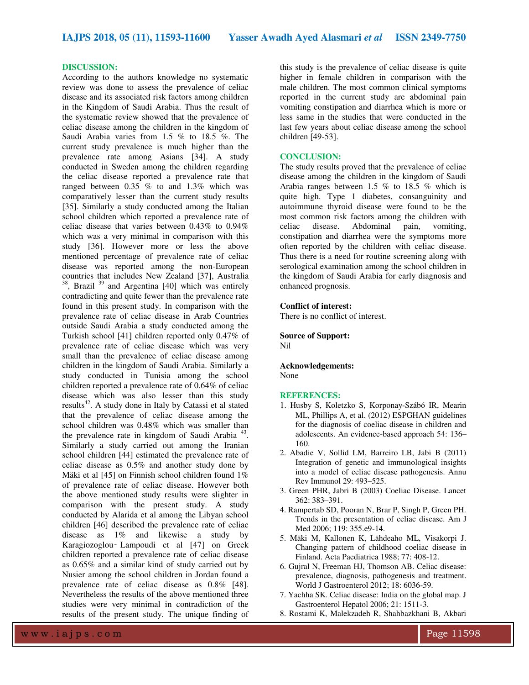#### **DISCUSSION:**

According to the authors knowledge no systematic review was done to assess the prevalence of celiac disease and its associated risk factors among children in the Kingdom of Saudi Arabia. Thus the result of the systematic review showed that the prevalence of celiac disease among the children in the kingdom of Saudi Arabia varies from 1.5 % to 18.5 %. The current study prevalence is much higher than the prevalence rate among Asians [34]. A study conducted in Sweden among the children regarding the celiac disease reported a prevalence rate that ranged between 0.35 % to and 1.3% which was comparatively lesser than the current study results [35]. Similarly a study conducted among the Italian school children which reported a prevalence rate of celiac disease that varies between 0.43% to 0.94% which was a very minimal in comparison with this study [36]. However more or less the above mentioned percentage of prevalence rate of celiac disease was reported among the non-European countries that includes New Zealand [37], Australia  $38$ , Brazil  $39$  and Argentina [40] which was entirely contradicting and quite fewer than the prevalence rate found in this present study. In comparison with the prevalence rate of celiac disease in Arab Countries outside Saudi Arabia a study conducted among the Turkish school [41] children reported only 0.47% of prevalence rate of celiac disease which was very small than the prevalence of celiac disease among children in the kingdom of Saudi Arabia. Similarly a study conducted in Tunisia among the school children reported a prevalence rate of 0.64% of celiac disease which was also lesser than this study results<sup>42</sup>. A study done in Italy by Catassi et al stated that the prevalence of celiac disease among the school children was 0.48% which was smaller than the prevalence rate in kingdom of Saudi Arabia<sup>43</sup>. Similarly a study carried out among the Iranian school children [44] estimated the prevalence rate of celiac disease as 0.5% and another study done by Mäki et al [45] on Finnish school children found 1% of prevalence rate of celiac disease. However both the above mentioned study results were slighter in comparison with the present study. A study conducted by Alarida et al among the Libyan school children [46] described the prevalence rate of celiac disease as 1% and likewise a study by Karagiozoglou‑ Lampoudi et al [47] on Greek children reported a prevalence rate of celiac disease as 0.65% and a similar kind of study carried out by Nusier among the school children in Jordan found a prevalence rate of celiac disease as 0.8% [48]. Nevertheless the results of the above mentioned three studies were very minimal in contradiction of the results of the present study. The unique finding of

this study is the prevalence of celiac disease is quite higher in female children in comparison with the male children. The most common clinical symptoms reported in the current study are abdominal pain vomiting constipation and diarrhea which is more or less same in the studies that were conducted in the last few years about celiac disease among the school children [49-53].

#### **CONCLUSION:**

The study results proved that the prevalence of celiac disease among the children in the kingdom of Saudi Arabia ranges between 1.5 % to 18.5 % which is quite high. Type 1 diabetes, consanguinity and autoimmune thyroid disease were found to be the most common risk factors among the children with celiac disease. Abdominal pain, vomiting, constipation and diarrhea were the symptoms more often reported by the children with celiac disease. Thus there is a need for routine screening along with serological examination among the school children in the kingdom of Saudi Arabia for early diagnosis and enhanced prognosis.

#### **Conflict of interest:**

There is no conflict of interest.

**Source of Support:**  Nil

**Acknowledgements:**  None

#### **REFERENCES:**

- 1. Husby S, Koletzko S, Korponay-Szábó IR, Mearin ML, Phillips A, et al. (2012) ESPGHAN guidelines for the diagnosis of coeliac disease in children and adolescents. An evidence-based approach 54: 136– 160.
- 2. Abadie V, Sollid LM, Barreiro LB, Jabi B (2011) Integration of genetic and immunological insights into a model of celiac disease pathogenesis. Annu Rev Immunol 29: 493–525.
- 3. Green PHR, Jabri B (2003) Coeliac Disease. Lancet 362: 383–391.
- 4. Rampertab SD, Pooran N, Brar P, Singh P, Green PH. Trends in the presentation of celiac disease. Am J Med 2006; 119: 355.e9-14.
- 5. Mäki M, Kallonen K, Lähdeaho ML, Visakorpi J. Changing pattern of childhood coeliac disease in Finland. Acta Paediatrica 1988; 77: 408-12.
- 6. Gujral N, Freeman HJ, Thomson AB. Celiac disease: prevalence, diagnosis, pathogenesis and treatment. World J Gastroenterol 2012; 18: 6036-59.
- 7. Yachha SK. Celiac disease: India on the global map. J Gastroenterol Hepatol 2006; 21: 1511-3.
- 8. Rostami K, Malekzadeh R, Shahbazkhani B, Akbari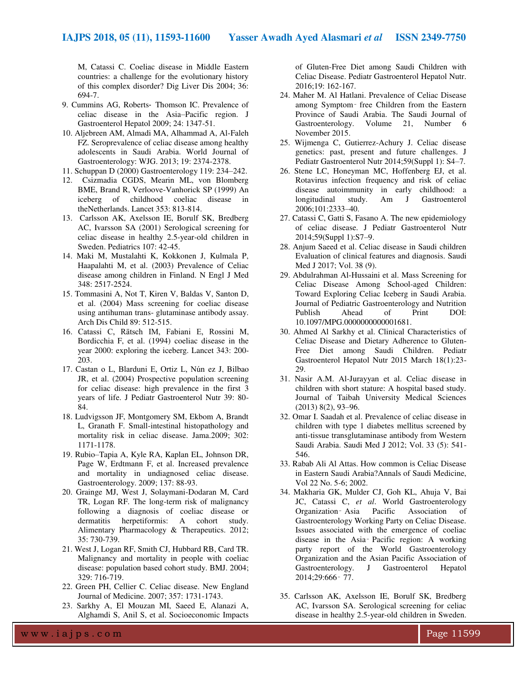M, Catassi C. Coeliac disease in Middle Eastern countries: a challenge for the evolutionary history of this complex disorder? Dig Liver Dis 2004; 36: 694-7.

- 9. Cummins AG, Roberts‐ Thomson IC. Prevalence of celiac disease in the Asia–Pacific region. J Gastroenterol Hepatol 2009; 24: 1347-51.
- 10. Aljebreen AM, Almadi MA, Alhammad A, Al-Faleh FZ. Seroprevalence of celiac disease among healthy adolescents in Saudi Arabia. World Journal of Gastroenterology: WJG. 2013; 19: 2374-2378.
- 11. Schuppan D (2000) Gastroenterology 119: 234–242.
- 12. Csizmadia CGDS, Mearin ML, von Blomberg BME, Brand R, Verloove-Vanhorick SP (1999) An iceberg of childhood coeliac disease in theNetherlands. Lancet 353: 813-814.
- 13. Carlsson AK, Axelsson IE, Borulf SK, Bredberg AC, Ivarsson SA (2001) Serological screening for celiac disease in healthy 2.5-year-old children in Sweden. Pediatrics 107: 42-45.
- 14. Maki M, Mustalahti K, Kokkonen J, Kulmala P, Haapalahti M, et al. (2003) Prevalence of Celiac disease among children in Finland. N Engl J Med 348: 2517-2524.
- 15. Tommasini A, Not T, Kiren V, Baldas V, Santon D, et al. (2004) Mass screening for coeliac disease using antihuman trans- glutaminase antibody assay. Arch Dis Child 89: 512-515.
- 16. Catassi C, Rätsch IM, Fabiani E, Rossini M, Bordicchia F, et al. (1994) coeliac disease in the year 2000: exploring the iceberg. Lancet 343: 200- 203.
- 17. Castan o L, Blarduni E, Ortiz L, Nún ez J, Bilbao JR, et al. (2004) Prospective population screening for celiac disease: high prevalence in the first 3 years of life. J Pediatr Gastroenterol Nutr 39: 80- 84.
- 18. Ludvigsson JF, Montgomery SM, Ekbom A, Brandt L, Granath F. Small-intestinal histopathology and mortality risk in celiac disease. Jama.2009; 302: 1171-1178.
- 19. Rubio–Tapia A, Kyle RA, Kaplan EL, Johnson DR, Page W, Erdtmann F, et al. Increased prevalence and mortality in undiagnosed celiac disease. Gastroenterology. 2009; 137: 88-93.
- 20. Grainge MJ, West J, Solaymani-Dodaran M, Card TR, Logan RF. The long-term risk of malignancy following a diagnosis of coeliac disease or dermatitis herpetiformis: A cohort study. Alimentary Pharmacology & Therapeutics. 2012; 35: 730-739.
- 21. West J, Logan RF, Smith CJ, Hubbard RB, Card TR. Malignancy and mortality in people with coeliac disease: population based cohort study. BMJ. 2004; 329: 716-719.
- 22. Green PH, Cellier C. Celiac disease. New England Journal of Medicine. 2007; 357: 1731-1743.
- 23. Sarkhy A, El Mouzan MI, Saeed E, Alanazi A, Alghamdi S, Anil S, et al. Socioeconomic Impacts

of Gluten-Free Diet among Saudi Children with Celiac Disease. Pediatr Gastroenterol Hepatol Nutr. 2016;19: 162-167.

- 24. Maher M. Al Hatlani. Prevalence of Celiac Disease among Symptom‑ free Children from the Eastern Province of Saudi Arabia. The Saudi Journal of Gastroenterology. Volume 21, Number 6 November 2015.
- 25. Wijmenga C, Gutierrez-Achury J. Celiac disease genetics: past, present and future challenges. J Pediatr Gastroenterol Nutr 2014;59(Suppl 1): S4–7.
- 26. Stene LC, Honeyman MC, Hoffenberg EJ, et al. Rotavirus infection frequency and risk of celiac disease autoimmunity in early childhood: a longitudinal study. Am J Gastroenterol 2006;101:2333–40.
- 27. Catassi C, Gatti S, Fasano A. The new epidemiology of celiac disease. J Pediatr Gastroenterol Nutr 2014;59(Suppl 1):S7–9.
- 28. Anjum Saeed et al. Celiac disease in Saudi children Evaluation of clinical features and diagnosis. Saudi Med J 2017; Vol. 38 (9).
- 29. Abdulrahman Al-Hussaini et al. Mass Screening for Celiac Disease Among School-aged Children: Toward Exploring Celiac Iceberg in Saudi Arabia. Journal of Pediatric Gastroenterology and Nutrition Publish Ahead of Print DOI: 10.1097/MPG.0000000000001681.
- 30. Ahmed Al Sarkhy et al. Clinical Characteristics of Celiac Disease and Dietary Adherence to Gluten-Free Diet among Saudi Children. Pediatr Gastroenterol Hepatol Nutr 2015 March 18(1):23- 29.
- 31. Nasir A.M. Al-Jurayyan et al. Celiac disease in children with short stature: A hospital based study. Journal of Taibah University Medical Sciences (2013) 8(2), 93–96.
- 32. Omar I. Saadah et al. Prevalence of celiac disease in children with type 1 diabetes mellitus screened by anti-tissue transglutaminase antibody from Western Saudi Arabia. Saudi Med J 2012; Vol. 33 (5): 541- 546.
- 33. Rabab Ali Al Attas. How common is Celiac Disease in Eastern Saudi Arabia?Annals of Saudi Medicine, Vol 22 No. 5-6; 2002.
- 34. Makharia GK, Mulder CJ, Goh KL, Ahuja V, Bai JC, Catassi C, *et al*. World Gastroenterology Organization‑ Asia Pacific Association of Gastroenterology Working Party on Celiac Disease. Issues associated with the emergence of coeliac disease in the Asia‑ Pacific region: A working party report of the World Gastroenterology Organization and the Asian Pacific Association of Gastroenterology. J Gastroenterol Hepatol 2014;29:666‑ 77.
- 35. Carlsson AK, Axelsson IE, Borulf SK, Bredberg AC, Ivarsson SA. Serological screening for celiac disease in healthy 2.5-year-old children in Sweden.